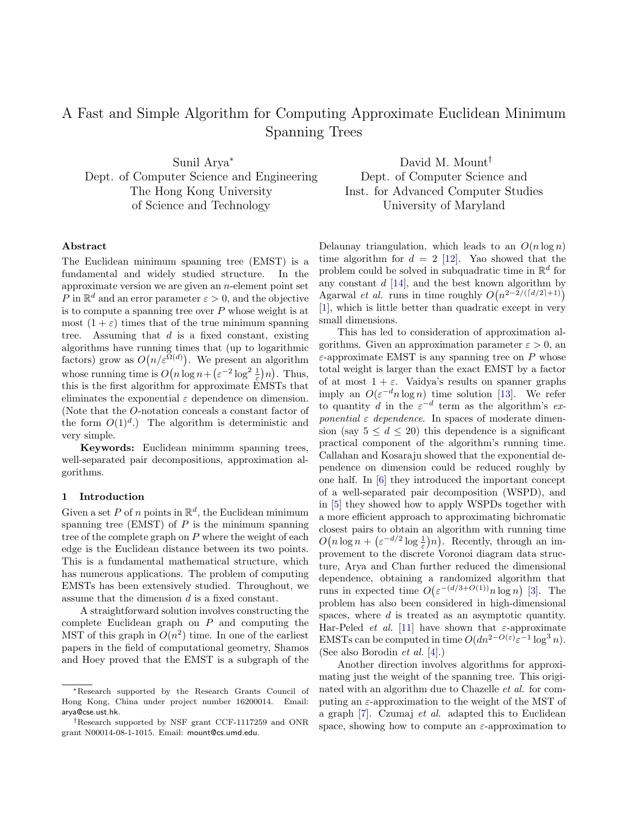# A Fast and Simple Algorithm for Computing Approximate Euclidean Minimum Spanning Trees

Sunil Arya<sup>∗</sup> Dept. of Computer Science and Engineering The Hong Kong University of Science and Technology

David M. Mount† Dept. of Computer Science and Inst. for Advanced Computer Studies University of Maryland

## Abstract

The Euclidean minimum spanning tree (EMST) is a fundamental and widely studied structure. In the approximate version we are given an  $n$ -element point set P in  $\mathbb{R}^d$  and an error parameter  $\varepsilon > 0$ , and the objective is to compute a spanning tree over  $P$  whose weight is at most  $(1 + \varepsilon)$  times that of the true minimum spanning tree. Assuming that  $d$  is a fixed constant, existing algorithms have running times that (up to logarithmic factors) grow as  $O(n/\varepsilon^{\Omega(d)})$ . We present an algorithm whose running time is  $O(n \log n + (\varepsilon^{-2} \log^2 \frac{1}{\varepsilon})n)$ . Thus, this is the first algorithm for approximate EMSTs that eliminates the exponential  $\varepsilon$  dependence on dimension. (Note that the O-notation conceals a constant factor of the form  $O(1)^d$ .) The algorithm is deterministic and very simple.

Keywords: Euclidean minimum spanning trees, well-separated pair decompositions, approximation algorithms.

### 1 Introduction

Given a set P of n points in  $\mathbb{R}^d$ , the Euclidean minimum spanning tree (EMST) of  $P$  is the minimum spanning tree of the complete graph on  $P$  where the weight of each edge is the Euclidean distance between its two points. This is a fundamental mathematical structure, which has numerous applications. The problem of computing EMSTs has been extensively studied. Throughout, we assume that the dimension d is a fixed constant.

A straightforward solution involves constructing the complete Euclidean graph on  $P$  and computing the MST of this graph in  $O(n^2)$  time. In one of the earliest papers in the field of computational geometry, Shamos and Hoey proved that the EMST is a subgraph of the Delaunay triangulation, which leads to an  $O(n \log n)$ time algorithm for  $d = 2$  [\[12\]](#page-13-0). Yao showed that the problem could be solved in subquadratic time in  $\mathbb{R}^d$  for any constant  $d$  [\[14\]](#page-13-1), and the best known algorithm by Agarwal *et al.* runs in time roughly  $O(n^{2-2/(\lceil d/2 \rceil+1)})$ [\[1\]](#page-13-2), which is little better than quadratic except in very small dimensions.

This has led to consideration of approximation algorithms. Given an approximation parameter  $\varepsilon > 0$ , an  $\varepsilon$ -approximate EMST is any spanning tree on P whose total weight is larger than the exact EMST by a factor of at most  $1 + \varepsilon$ . Vaidya's results on spanner graphs imply an  $O(\varepsilon^{-d} n \log n)$  time solution [\[13\]](#page-13-3). We refer to quantity d in the  $\varepsilon^{-d}$  term as the algorithm's exponential  $\varepsilon$  dependence. In spaces of moderate dimension (say  $5 \leq d \leq 20$ ) this dependence is a significant practical component of the algorithm's running time. Callahan and Kosaraju showed that the exponential dependence on dimension could be reduced roughly by one half. In [\[6\]](#page-13-4) they introduced the important concept of a well-separated pair decomposition (WSPD), and in [\[5\]](#page-13-5) they showed how to apply WSPDs together with a more efficient approach to approximating bichromatic closest pairs to obtain an algorithm with running time  $O(n \log n + (\varepsilon^{-d/2} \log \frac{1}{\varepsilon})n)$ . Recently, through an improvement to the discrete Voronoi diagram data structure, Arya and Chan further reduced the dimensional dependence, obtaining a randomized algorithm that runs in expected time  $O(\varepsilon^{-(d/3+O(1))} n \log n)$  [\[3\]](#page-13-6). The problem has also been considered in high-dimensional spaces, where  $d$  is treated as an asymptotic quantity. Har-Peled *et al.* [\[11\]](#page-13-7) have shown that  $\varepsilon$ -approximate EMSTs can be computed in time  $O(dn^{2-O(\varepsilon)}\varepsilon^{-1} \log^3 n)$ . (See also Borodin et al. [\[4\]](#page-13-8).)

Another direction involves algorithms for approximating just the weight of the spanning tree. This originated with an algorithm due to Chazelle et al. for computing an  $\varepsilon$ -approximation to the weight of the MST of a graph [\[7\]](#page-13-9). Czumaj et al. adapted this to Euclidean space, showing how to compute an  $\varepsilon$ -approximation to

<sup>∗</sup>Research supported by the Research Grants Council of Hong Kong, China under project number 16200014. Email: arya@cse.ust.hk.

<sup>†</sup>Research supported by NSF grant CCF-1117259 and ONR grant N00014-08-1-1015. Email: mount@cs.umd.edu.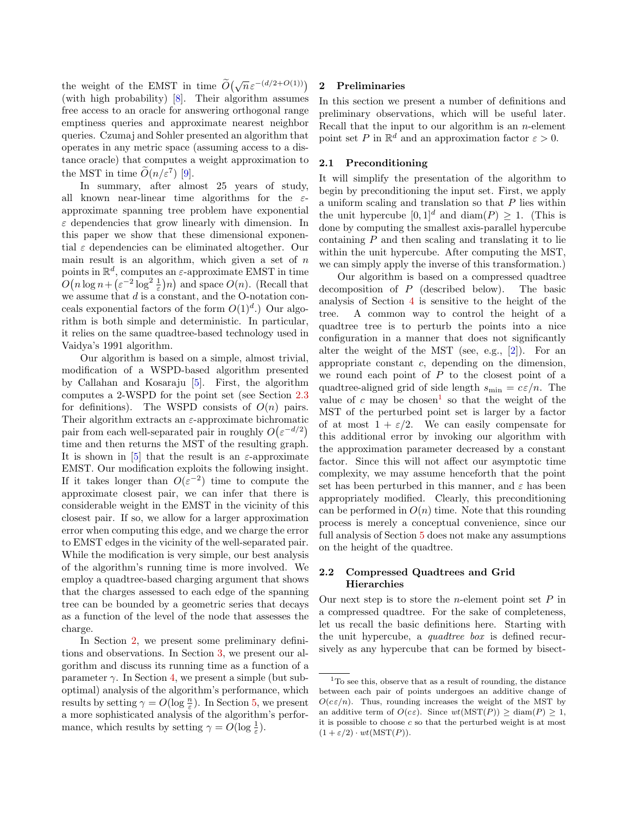the weight of the EMST in time  $\widetilde{O}(\sqrt{n}\varepsilon^{-(d/2+O(1))})$ (with high probability) [\[8\]](#page-13-10). Their algorithm assumes free access to an oracle for answering orthogonal range emptiness queries and approximate nearest neighbor queries. Czumaj and Sohler presented an algorithm that operates in any metric space (assuming access to a distance oracle) that computes a weight approximation to the MST in time  $\widetilde{O}(n/\varepsilon^7)$  [\[9\]](#page-13-11).

In summary, after almost 25 years of study, all known near-linear time algorithms for the  $\varepsilon$ approximate spanning tree problem have exponential  $\varepsilon$  dependencies that grow linearly with dimension. In this paper we show that these dimensional exponential  $\varepsilon$  dependencies can be eliminated altogether. Our main result is an algorithm, which given a set of  $n$ points in  $\mathbb{R}^d$ , computes an  $\varepsilon$ -approximate EMST in time  $O(n \log n + (\varepsilon^{-2} \log^2 \frac{1}{\varepsilon}))n)$  and space  $O(n)$ . (Recall that we assume that  $d$  is a constant, and the O-notation conceals exponential factors of the form  $O(1)^d$ .) Our algorithm is both simple and deterministic. In particular, it relies on the same quadtree-based technology used in Vaidya's 1991 algorithm.

Our algorithm is based on a simple, almost trivial, modification of a WSPD-based algorithm presented by Callahan and Kosaraju [\[5\]](#page-13-5). First, the algorithm computes a 2-WSPD for the point set (see Section [2.3](#page-3-0) for definitions). The WSPD consists of  $O(n)$  pairs. Their algorithm extracts an  $\varepsilon$ -approximate bichromatic pair from each well-separated pair in roughly  $O(\varepsilon^{-d/2})$ time and then returns the MST of the resulting graph. It is shown in [\[5\]](#page-13-5) that the result is an  $\varepsilon$ -approximate EMST. Our modification exploits the following insight. If it takes longer than  $O(\varepsilon^{-2})$  time to compute the approximate closest pair, we can infer that there is considerable weight in the EMST in the vicinity of this closest pair. If so, we allow for a larger approximation error when computing this edge, and we charge the error to EMST edges in the vicinity of the well-separated pair. While the modification is very simple, our best analysis of the algorithm's running time is more involved. We employ a quadtree-based charging argument that shows that the charges assessed to each edge of the spanning tree can be bounded by a geometric series that decays as a function of the level of the node that assesses the charge.

In Section [2,](#page-1-0) we present some preliminary definitions and observations. In Section [3,](#page-3-1) we present our algorithm and discuss its running time as a function of a parameter  $\gamma$ . In Section [4,](#page-5-0) we present a simple (but suboptimal) analysis of the algorithm's performance, which results by setting  $\gamma = O(\log \frac{n}{\varepsilon})$ . In Section [5,](#page-7-0) we present a more sophisticated analysis of the algorithm's performance, which results by setting  $\gamma = O(\log \frac{1}{\varepsilon}).$ 

### <span id="page-1-0"></span>2 Preliminaries

In this section we present a number of definitions and preliminary observations, which will be useful later. Recall that the input to our algorithm is an  $n$ -element point set P in  $\mathbb{R}^d$  and an approximation factor  $\varepsilon > 0$ .

## 2.1 Preconditioning

It will simplify the presentation of the algorithm to begin by preconditioning the input set. First, we apply a uniform scaling and translation so that  $P$  lies within the unit hypercube  $[0, 1]^d$  and  $\text{diam}(P) \geq 1$ . (This is done by computing the smallest axis-parallel hypercube containing  $P$  and then scaling and translating it to lie within the unit hypercube. After computing the MST, we can simply apply the inverse of this transformation.)

Our algorithm is based on a compressed quadtree decomposition of P (described below). The basic analysis of Section [4](#page-5-0) is sensitive to the height of the tree. A common way to control the height of a quadtree tree is to perturb the points into a nice configuration in a manner that does not significantly alter the weight of the MST (see, e.g., [\[2\]](#page-13-12)). For an appropriate constant  $c$ , depending on the dimension, we round each point of  $P$  to the closest point of a quadtree-aligned grid of side length  $s_{\min} = c \varepsilon / n$ . The value of c may be chosen<sup>[1](#page-1-1)</sup> so that the weight of the MST of the perturbed point set is larger by a factor of at most  $1 + \varepsilon/2$ . We can easily compensate for this additional error by invoking our algorithm with the approximation parameter decreased by a constant factor. Since this will not affect our asymptotic time complexity, we may assume henceforth that the point set has been perturbed in this manner, and  $\varepsilon$  has been appropriately modified. Clearly, this preconditioning can be performed in  $O(n)$  time. Note that this rounding process is merely a conceptual convenience, since our full analysis of Section [5](#page-7-0) does not make any assumptions on the height of the quadtree.

# 2.2 Compressed Quadtrees and Grid Hierarchies

Our next step is to store the *n*-element point set  $P$  in a compressed quadtree. For the sake of completeness, let us recall the basic definitions here. Starting with the unit hypercube, a quadtree box is defined recursively as any hypercube that can be formed by bisect-

<span id="page-1-1"></span><sup>1</sup>To see this, observe that as a result of rounding, the distance between each pair of points undergoes an additive change of  $O(c\varepsilon/n)$ . Thus, rounding increases the weight of the MST by an additive term of  $O(c\varepsilon)$ . Since  $wt(MST(P)) \geq diam(P) \geq 1$ , it is possible to choose  $c$  so that the perturbed weight is at most  $(1 + \varepsilon/2) \cdot wt(MST(P)).$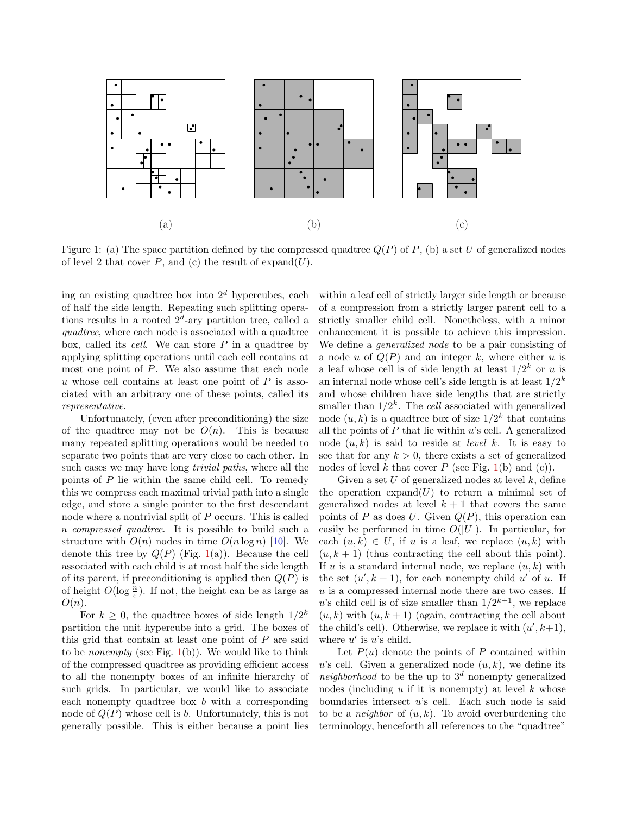

<span id="page-2-0"></span>Figure 1: (a) The space partition defined by the compressed quadtree  $Q(P)$  of P, (b) a set U of generalized nodes of level 2 that cover  $P$ , and (c) the result of expand(U).

ing an existing quadtree box into  $2<sup>d</sup>$  hypercubes, each of half the side length. Repeating such splitting operations results in a rooted  $2^d$ -ary partition tree, called a quadtree, where each node is associated with a quadtree box, called its *cell.* We can store  $P$  in a quadtree by applying splitting operations until each cell contains at most one point of P. We also assume that each node u whose cell contains at least one point of  $P$  is associated with an arbitrary one of these points, called its representative.

Unfortunately, (even after preconditioning) the size of the quadtree may not be  $O(n)$ . This is because many repeated splitting operations would be needed to separate two points that are very close to each other. In such cases we may have long *trivial paths*, where all the points of  $P$  lie within the same child cell. To remedy this we compress each maximal trivial path into a single edge, and store a single pointer to the first descendant node where a nontrivial split of P occurs. This is called a compressed quadtree. It is possible to build such a structure with  $O(n)$  nodes in time  $O(n \log n)$  [\[10\]](#page-13-13). We denote this tree by  $Q(P)$  (Fig. [1\(](#page-2-0)a)). Because the cell associated with each child is at most half the side length of its parent, if preconditioning is applied then  $Q(P)$  is of height  $O(\log \frac{n}{\varepsilon})$ . If not, the height can be as large as  $O(n).$ 

For  $k \geq 0$ , the quadtree boxes of side length  $1/2^k$ partition the unit hypercube into a grid. The boxes of this grid that contain at least one point of  $P$  are said to be *nonempty* (see Fig.  $1(b)$  $1(b)$ ). We would like to think of the compressed quadtree as providing efficient access to all the nonempty boxes of an infinite hierarchy of such grids. In particular, we would like to associate each nonempty quadtree box  $b$  with a corresponding node of  $Q(P)$  whose cell is b. Unfortunately, this is not generally possible. This is either because a point lies within a leaf cell of strictly larger side length or because of a compression from a strictly larger parent cell to a strictly smaller child cell. Nonetheless, with a minor enhancement it is possible to achieve this impression. We define a *generalized node* to be a pair consisting of a node u of  $Q(P)$  and an integer k, where either u is a leaf whose cell is of side length at least  $1/2^k$  or u is an internal node whose cell's side length is at least  $1/2^k$ and whose children have side lengths that are strictly smaller than  $1/2^k$ . The cell associated with generalized node  $(u, k)$  is a quadtree box of size  $1/2^k$  that contains all the points of  $P$  that lie within  $u$ 's cell. A generalized node  $(u, k)$  is said to reside at *level* k. It is easy to see that for any  $k > 0$ , there exists a set of generalized nodes of level k that cover P (see Fig.  $1(b)$  $1(b)$  and (c)).

Given a set  $U$  of generalized nodes at level  $k$ , define the operation  $\exp \operatorname{and}(U)$  to return a minimal set of generalized nodes at level  $k + 1$  that covers the same points of P as does U. Given  $Q(P)$ , this operation can easily be performed in time  $O(|U|)$ . In particular, for each  $(u, k) \in U$ , if u is a leaf, we replace  $(u, k)$  with  $(u, k + 1)$  (thus contracting the cell about this point). If u is a standard internal node, we replace  $(u, k)$  with the set  $(u', k + 1)$ , for each nonempty child u' of u. If  $u$  is a compressed internal node there are two cases. If u's child cell is of size smaller than  $1/2^{k+1}$ , we replace  $(u, k)$  with  $(u, k + 1)$  (again, contracting the cell about the child's cell). Otherwise, we replace it with  $(u', k+1)$ , where  $u'$  is  $u$ 's child.

Let  $P(u)$  denote the points of P contained within u's cell. Given a generalized node  $(u, k)$ , we define its neighborhood to be the up to  $3^d$  nonempty generalized nodes (including  $u$  if it is nonempty) at level  $k$  whose boundaries intersect  $u$ 's cell. Each such node is said to be a *neighbor* of  $(u, k)$ . To avoid overburdening the terminology, henceforth all references to the "quadtree"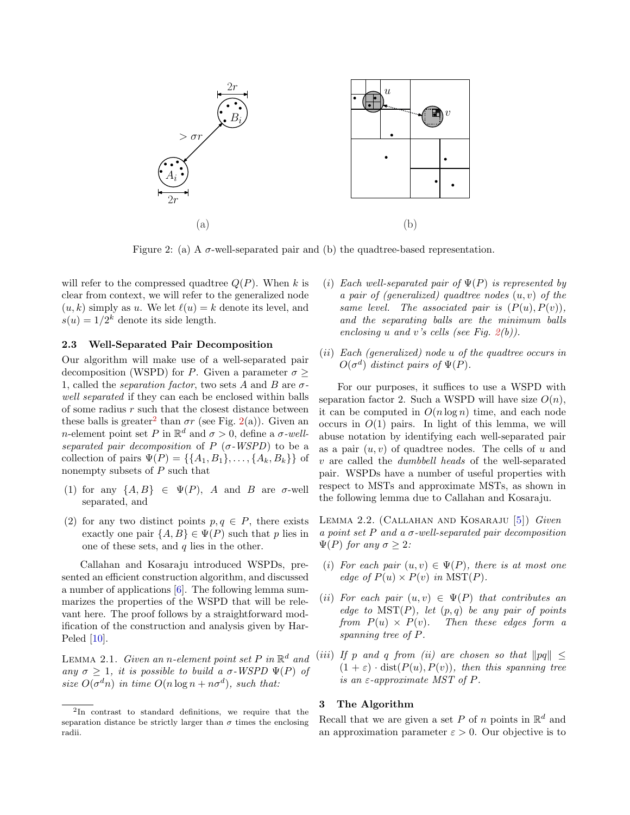

<span id="page-3-3"></span>Figure 2: (a) A  $\sigma$ -well-separated pair and (b) the quadtree-based representation.

will refer to the compressed quadtree  $Q(P)$ . When k is clear from context, we will refer to the generalized node  $(u, k)$  simply as u. We let  $\ell(u) = k$  denote its level, and  $s(u) = 1/2^k$  denote its side length.

### <span id="page-3-0"></span>2.3 Well-Separated Pair Decomposition

Our algorithm will make use of a well-separated pair decomposition (WSPD) for P. Given a parameter  $\sigma \geq$ 1, called the *separation factor*, two sets A and B are  $\sigma$ well separated if they can each be enclosed within balls of some radius  $r$  such that the closest distance between these balls is greater<sup>[2](#page-3-2)</sup> than  $\sigma r$  (see Fig. [2\(](#page-3-3)a)). Given an *n*-element point set P in  $\mathbb{R}^d$  and  $\sigma > 0$ , define a  $\sigma$ -wellseparated pair decomposition of  $P$  ( $\sigma$ -WSPD) to be a collection of pairs  $\Psi(P) = \{\{A_1, B_1\}, \ldots, \{A_k, B_k\}\}\$ of nonempty subsets of  $P$  such that

- (1) for any  $\{A, B\} \in \Psi(P)$ , A and B are  $\sigma$ -well separated, and
- (2) for any two distinct points  $p, q \in P$ , there exists exactly one pair  $\{A, B\} \in \Psi(P)$  such that p lies in one of these sets, and  $q$  lies in the other.

Callahan and Kosaraju introduced WSPDs, presented an efficient construction algorithm, and discussed a number of applications [\[6\]](#page-13-4). The following lemma summarizes the properties of the WSPD that will be relevant here. The proof follows by a straightforward modification of the construction and analysis given by Har-Peled [\[10\]](#page-13-13).

<span id="page-3-5"></span>LEMMA 2.1. Given an n-element point set P in  $\mathbb{R}^d$  and any  $\sigma > 1$ , it is possible to build a  $\sigma$ -WSPD  $\Psi(P)$  of size  $O(\sigma^d n)$  in time  $O(n \log n + n \sigma^d)$ , such that:

- (i) Each well-separated pair of  $\Psi(P)$  is represented by a pair of (generalized) quadtree nodes  $(u, v)$  of the same level. The associated pair is  $(P(u), P(v)),$ and the separating balls are the minimum balls enclosing u and v's cells (see Fig.  $2(b)$  $2(b)$ ).
- (ii) Each (generalized) node u of the quadtree occurs in  $O(\sigma^d)$  distinct pairs of  $\Psi(P)$ .

For our purposes, it suffices to use a WSPD with separation factor 2. Such a WSPD will have size  $O(n)$ , it can be computed in  $O(n \log n)$  time, and each node occurs in  $O(1)$  pairs. In light of this lemma, we will abuse notation by identifying each well-separated pair as a pair  $(u, v)$  of quadtree nodes. The cells of u and v are called the dumbbell heads of the well-separated pair. WSPDs have a number of useful properties with respect to MSTs and approximate MSTs, as shown in the following lemma due to Callahan and Kosaraju.

<span id="page-3-4"></span>Lemma 2.2. (Callahan and Kosaraju [\[5\]](#page-13-5)) Given a point set P and a  $\sigma$ -well-separated pair decomposition  $\Psi(P)$  for any  $\sigma > 2$ :

- (i) For each pair  $(u, v) \in \Psi(P)$ , there is at most one edge of  $P(u) \times P(v)$  in  $MST(P)$ .
- (ii) For each pair  $(u, v) \in \Psi(P)$  that contributes an edge to  $MST(P)$ , let  $(p,q)$  be any pair of points from  $P(u) \times P(v)$ . Then these edges form a spanning tree of P.
- (iii) If p and q from (ii) are chosen so that  $\|pq\| \leq$  $(1 + \varepsilon) \cdot dist(P(u), P(v)),$  then this spanning tree is an  $\varepsilon$ -approximate MST of P.

# <span id="page-3-1"></span>3 The Algorithm

Recall that we are given a set P of n points in  $\mathbb{R}^d$  and an approximation parameter  $\varepsilon > 0$ . Our objective is to

<span id="page-3-2"></span><sup>2</sup> In contrast to standard definitions, we require that the separation distance be strictly larger than  $\sigma$  times the enclosing radii.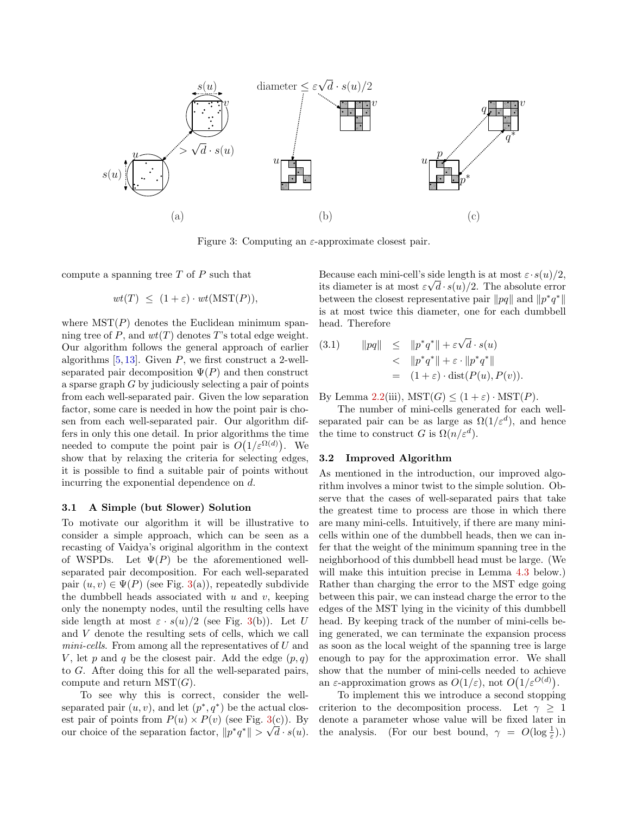

<span id="page-4-0"></span>Figure 3: Computing an  $\varepsilon$ -approximate closest pair.

compute a spanning tree  $T$  of  $P$  such that

$$
wt(T) \leq (1+\varepsilon) \cdot wt(MST(P)),
$$

where  $MST(P)$  denotes the Euclidean minimum spanning tree of P, and  $wt(T)$  denotes T's total edge weight. Our algorithm follows the general approach of earlier algorithms  $[5, 13]$  $[5, 13]$  $[5, 13]$ . Given P, we first construct a 2-wellseparated pair decomposition  $\Psi(P)$  and then construct a sparse graph  $G$  by judiciously selecting a pair of points from each well-separated pair. Given the low separation factor, some care is needed in how the point pair is chosen from each well-separated pair. Our algorithm differs in only this one detail. In prior algorithms the time needed to compute the point pair is  $O(1/\varepsilon^{\Omega(d)})$ . We show that by relaxing the criteria for selecting edges, it is possible to find a suitable pair of points without incurring the exponential dependence on d.

### <span id="page-4-1"></span>3.1 A Simple (but Slower) Solution

To motivate our algorithm it will be illustrative to consider a simple approach, which can be seen as a recasting of Vaidya's original algorithm in the context of WSPDs. Let  $\Psi(P)$  be the aforementioned wellseparated pair decomposition. For each well-separated pair  $(u, v) \in \Psi(P)$  (see Fig. [3\(](#page-4-0)a)), repeatedly subdivide the dumbbell heads associated with  $u$  and  $v$ , keeping only the nonempty nodes, until the resulting cells have side length at most  $\varepsilon \cdot s(u)/2$  (see Fig. [3\(](#page-4-0)b)). Let U and V denote the resulting sets of cells, which we call  $min\text{-}cells$ . From among all the representatives of U and V, let p and q be the closest pair. Add the edge  $(p, q)$ to G. After doing this for all the well-separated pairs, compute and return  $MST(G)$ .

To see why this is correct, consider the wellseparated pair  $(u, v)$ , and let  $(p^*, q^*)$  be the actual closest pair of points from  $P(u) \times P(v)$  (see Fig. [3\(](#page-4-0)c)). By our choice of the separation factor,  $||p^*q^*|| > \sqrt{d} \cdot s(u)$ . Because each mini-cell's side length is at most  $\varepsilon \cdot s(u)/2$ , because each num con *s* size engen is at most  $\varepsilon \cdot (a)/2$ .<br>its diameter is at most  $\varepsilon \sqrt{d} \cdot s(u)/2$ . The absolute error between the closest representative pair  $||pq||$  and  $||p^*q^*||$ is at most twice this diameter, one for each dumbbell head. Therefore

<span id="page-4-2"></span>(3.1) 
$$
||pq|| \le ||p^*q^*|| + \varepsilon \sqrt{d} \cdot s(u)
$$

$$
< ||p^*q^*|| + \varepsilon \cdot ||p^*q^*||
$$

$$
= (1 + \varepsilon) \cdot \text{dist}(P(u), P(v)).
$$

By Lemma [2.2\(](#page-3-4)iii),  $MST(G) \leq (1+\varepsilon) \cdot MST(P)$ .

The number of mini-cells generated for each wellseparated pair can be as large as  $\Omega(1/\varepsilon^d)$ , and hence the time to construct G is  $\Omega(n/\varepsilon^d)$ .

## <span id="page-4-3"></span>3.2 Improved Algorithm

As mentioned in the introduction, our improved algorithm involves a minor twist to the simple solution. Observe that the cases of well-separated pairs that take the greatest time to process are those in which there are many mini-cells. Intuitively, if there are many minicells within one of the dumbbell heads, then we can infer that the weight of the minimum spanning tree in the neighborhood of this dumbbell head must be large. (We will make this intuition precise in Lemma [4.3](#page-7-1) below.) Rather than charging the error to the MST edge going between this pair, we can instead charge the error to the edges of the MST lying in the vicinity of this dumbbell head. By keeping track of the number of mini-cells being generated, we can terminate the expansion process as soon as the local weight of the spanning tree is large enough to pay for the approximation error. We shall show that the number of mini-cells needed to achieve an  $\varepsilon$ -approximation grows as  $O(1/\varepsilon)$ , not  $O(1/\varepsilon^{O(d)})$ .

To implement this we introduce a second stopping criterion to the decomposition process. Let  $\gamma \geq 1$ denote a parameter whose value will be fixed later in the analysis. (For our best bound,  $\gamma = O(\log \frac{1}{\varepsilon}).$ )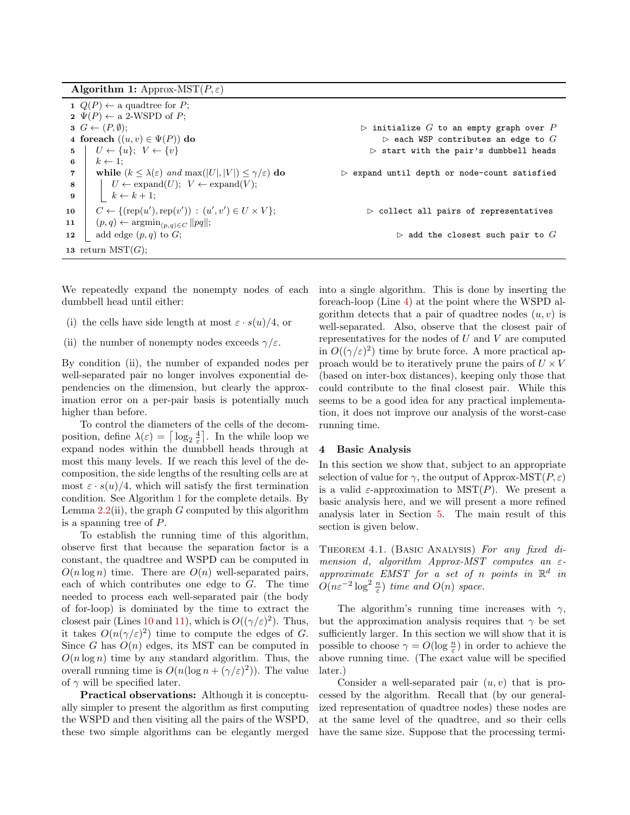Algorithm 1: Approx-MST $(P, \varepsilon)$ 

<span id="page-5-4"></span><span id="page-5-1"></span>

| $1 \ Q(P) \leftarrow$ a quadtree for P;                                                         |                                                             |
|-------------------------------------------------------------------------------------------------|-------------------------------------------------------------|
| $\mathbf{2} \ \Psi(P) \leftarrow$ a 2-WSPD of P;                                                |                                                             |
| $G \leftarrow (P, \emptyset);$                                                                  | $\triangleright$ initialize $G$ to an empty graph over $P$  |
| 4 foreach $((u, v) \in \Psi(P))$ do                                                             | $\triangleright$ each WSP contributes an edge to $G$        |
| $U \leftarrow \{u\}; V \leftarrow \{v\}$<br>$5 \vert$                                           | $\triangleright$ start with the pair's dumbbell heads       |
| $k \leftarrow 1$ :<br>6                                                                         |                                                             |
| while $(k \leq \lambda(\varepsilon)$ and $\max( U ,  V ) \leq \gamma/\varepsilon$ do            | $\triangleright$ expand until depth or node-count satisfied |
| $\mid U \leftarrow \text{expand}(U); V \leftarrow \text{expand}(V);$<br>$\overline{\mathbf{8}}$ |                                                             |
| $\begin{array}{ c c c c c } \hline \quad k \leftarrow k+1; \end{array}$<br>- 9                  |                                                             |
| $C \leftarrow \{ (rep(u'), rep(v')) : (u', v') \in U \times V \};$<br>10                        | $\triangleright$ collect all pairs of representatives       |
| $(p,q) \leftarrow \operatorname{argmin}_{(p,q) \in C}   pq  ;$<br>11                            |                                                             |
| add edge $(p, q)$ to $G$ ;<br>12                                                                | $\triangleright$ add the closest such pair to $G$           |
| 13 return $MST(G);$                                                                             |                                                             |

<span id="page-5-3"></span><span id="page-5-2"></span>We repeatedly expand the nonempty nodes of each dumbbell head until either:

- (i) the cells have side length at most  $\varepsilon \cdot s(u)/4$ , or
- (ii) the number of nonempty nodes exceeds  $\gamma/\varepsilon$ .

By condition (ii), the number of expanded nodes per well-separated pair no longer involves exponential dependencies on the dimension, but clearly the approximation error on a per-pair basis is potentially much higher than before.

To control the diameters of the cells of the decomposition, define  $\lambda(\varepsilon) = \left\lceil \log_2 \frac{4}{\varepsilon} \right\rceil$ . In the while loop we expand nodes within the dumbbell heads through at most this many levels. If we reach this level of the decomposition, the side lengths of the resulting cells are at most  $\varepsilon \cdot s(u)/4$ , which will satisfy the first termination condition. See Algorithm [1](#page-5-1) for the complete details. By Lemma  $2.2$ (ii), the graph G computed by this algorithm is a spanning tree of P.

To establish the running time of this algorithm, observe first that because the separation factor is a constant, the quadtree and WSPD can be computed in  $O(n \log n)$  time. There are  $O(n)$  well-separated pairs, each of which contributes one edge to  $G$ . The time needed to process each well-separated pair (the body of for-loop) is dominated by the time to extract the closest pair (Lines [10](#page-5-2) and [11\)](#page-5-3), which is  $O((\gamma/\varepsilon)^2)$ . Thus, it takes  $O(n(\gamma/\varepsilon)^2)$  time to compute the edges of G. Since G has  $O(n)$  edges, its MST can be computed in  $O(n \log n)$  time by any standard algorithm. Thus, the overall running time is  $O(n(\log n + (\gamma/\varepsilon)^2))$ . The value of  $\gamma$  will be specified later.

Practical observations: Although it is conceptually simpler to present the algorithm as first computing the WSPD and then visiting all the pairs of the WSPD, these two simple algorithms can be elegantly merged into a single algorithm. This is done by inserting the foreach-loop (Line [4\)](#page-5-4) at the point where the WSPD algorithm detects that a pair of quadtree nodes  $(u, v)$  is well-separated. Also, observe that the closest pair of representatives for the nodes of  $U$  and  $V$  are computed in  $O((\gamma/\varepsilon)^2)$  time by brute force. A more practical approach would be to iteratively prune the pairs of  $U \times V$ (based on inter-box distances), keeping only those that could contribute to the final closest pair. While this seems to be a good idea for any practical implementation, it does not improve our analysis of the worst-case running time.

### <span id="page-5-0"></span>4 Basic Analysis

In this section we show that, subject to an appropriate selection of value for  $\gamma$ , the output of Approx-MST( $P, \varepsilon$ ) is a valid  $\varepsilon$ -approximation to  $MST(P)$ . We present a basic analysis here, and we will present a more refined analysis later in Section [5.](#page-7-0) The main result of this section is given below.

<span id="page-5-5"></span>Theorem 4.1. (Basic Analysis) For any fixed dimension d, algorithm Approx-MST computes an  $\varepsilon$ approximate EMST for a set of n points in  $\mathbb{R}^d$  in  $O(n\varepsilon^{-2} \log^2 \frac{n}{\varepsilon})$  time and  $O(n)$  space.

The algorithm's running time increases with  $\gamma$ , but the approximation analysis requires that  $\gamma$  be set sufficiently larger. In this section we will show that it is possible to choose  $\gamma = O(\log \frac{n}{\varepsilon})$  in order to achieve the above running time. (The exact value will be specified later.)

Consider a well-separated pair  $(u, v)$  that is processed by the algorithm. Recall that (by our generalized representation of quadtree nodes) these nodes are at the same level of the quadtree, and so their cells have the same size. Suppose that the processing termi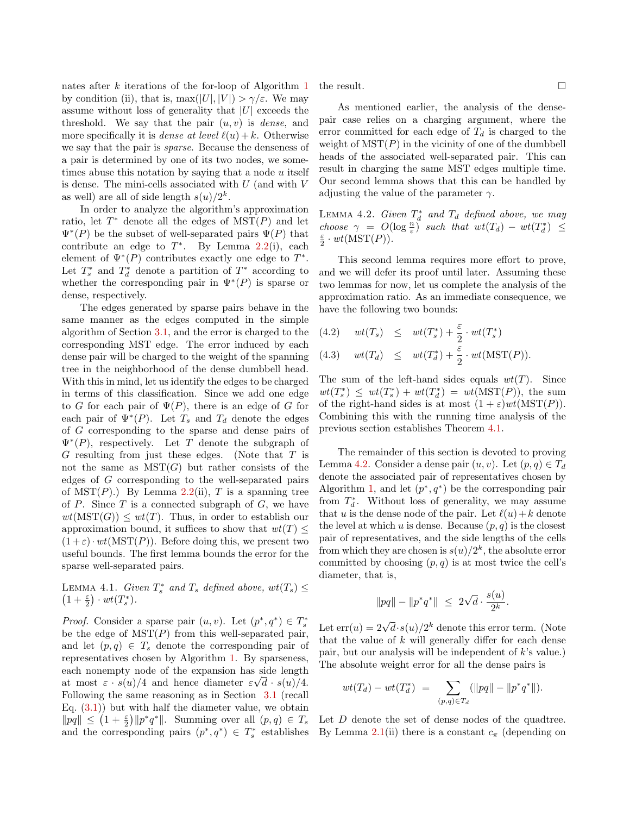nates after k iterations of the for-loop of Algorithm [1](#page-5-1) by condition (ii), that is,  $\max(|U|, |V|) > \gamma/\varepsilon$ . We may assume without loss of generality that  $|U|$  exceeds the threshold. We say that the pair  $(u, v)$  is *dense*, and more specifically it is *dense at level*  $\ell(u) + k$ . Otherwise we say that the pair is sparse. Because the denseness of a pair is determined by one of its two nodes, we sometimes abuse this notation by saying that a node  $u$  itself is dense. The mini-cells associated with  $U$  (and with  $V$ as well) are all of side length  $s(u)/2^k$ .

In order to analyze the algorithm's approximation ratio, let  $T^*$  denote all the edges of  $MST(P)$  and let  $\Psi^*(P)$  be the subset of well-separated pairs  $\Psi(P)$  that contribute an edge to  $T^*$ . By Lemma [2.2\(](#page-3-4)i), each element of  $\Psi^*(P)$  contributes exactly one edge to  $T^*$ . Let  $T_s^*$  and  $T_d^*$  denote a partition of  $T^*$  according to whether the corresponding pair in  $\Psi^*(P)$  is sparse or dense, respectively.

The edges generated by sparse pairs behave in the same manner as the edges computed in the simple algorithm of Section [3.1,](#page-4-1) and the error is charged to the corresponding MST edge. The error induced by each dense pair will be charged to the weight of the spanning tree in the neighborhood of the dense dumbbell head. With this in mind, let us identify the edges to be charged in terms of this classification. Since we add one edge to G for each pair of  $\Psi(P)$ , there is an edge of G for each pair of  $\Psi^*(P)$ . Let  $T_s$  and  $T_d$  denote the edges of G corresponding to the sparse and dense pairs of  $\Psi^*(P)$ , respectively. Let T denote the subgraph of G resulting from just these edges. (Note that T is not the same as  $MST(G)$  but rather consists of the edges of G corresponding to the well-separated pairs of  $MST(P)$ .) By Lemma [2.2\(](#page-3-4)ii), T is a spanning tree of  $P$ . Since  $T$  is a connected subgraph of  $G$ , we have  $wt(MST(G)) \leq wt(T)$ . Thus, in order to establish our approximation bound, it suffices to show that  $wt(T)$  $(1+\varepsilon) \cdot wt(MST(P))$ . Before doing this, we present two useful bounds. The first lemma bounds the error for the sparse well-separated pairs.

<span id="page-6-1"></span>LEMMA 4.1. Given  $T_s^*$  and  $T_s$  defined above,  $wt(T_s) \le$  $(1+\frac{\varepsilon}{2})\cdot wt(T^*_s).$ 

*Proof.* Consider a sparse pair  $(u, v)$ . Let  $(p^*, q^*) \in T_s^*$ be the edge of  $MST(P)$  from this well-separated pair, and let  $(p, q) \in T_s$  denote the corresponding pair of representatives chosen by Algorithm [1.](#page-5-1) By sparseness, each nonempty node of the expansion has side length at most  $\varepsilon \cdot s(u)/4$  and hence diameter  $\varepsilon \sqrt{d} \cdot s(u)/4$ . Following the same reasoning as in Section [3.1](#page-4-1) (recall Eq.  $(3.1)$  but with half the diameter value, we obtain  $\|pq\| \leq (1+\frac{\varepsilon}{2})\|p^*q^*\|$ . Summing over all  $(p,q) \in T_s$ and the corresponding pairs  $(p^*, q^*) \in T_s^*$  establishes the result.  $\Box$ 

As mentioned earlier, the analysis of the densepair case relies on a charging argument, where the error committed for each edge of  $T_d$  is charged to the weight of  $MST(P)$  in the vicinity of one of the dumbbell heads of the associated well-separated pair. This can result in charging the same MST edges multiple time. Our second lemma shows that this can be handled by adjusting the value of the parameter  $\gamma$ .

<span id="page-6-0"></span>LEMMA 4.2. Given  $T_d^*$  and  $T_d$  defined above, we may choose  $\gamma = O(\log \frac{n}{\varepsilon})$  such that  $wt(T_d) - wt(T_d^*) \leq$  $\frac{\varepsilon}{2} \cdot wt(MST(P)).$ 

This second lemma requires more effort to prove, and we will defer its proof until later. Assuming these two lemmas for now, let us complete the analysis of the approximation ratio. As an immediate consequence, we have the following two bounds:

(4.2) 
$$
wt(T_s) \leq wt(T_s^*) + \frac{\varepsilon}{2} \cdot wt(T_s^*)
$$
  
(4.3) 
$$
wt(T_d) \leq wt(T_d^*) + \frac{\varepsilon}{2} \cdot wt(MST(P)).
$$

The sum of the left-hand sides equals  $wt(T)$ . Since  $wt(T^*) \leq wt(T^*) + wt(T^*_d) = wt(MST(P)),$  the sum of the right-hand sides is at most  $(1+\varepsilon)wt(MST(P))$ . Combining this with the running time analysis of the previous section establishes Theorem [4.1.](#page-5-5)

The remainder of this section is devoted to proving Lemma [4.2.](#page-6-0) Consider a dense pair  $(u, v)$ . Let  $(p, q) \in T_d$ denote the associated pair of representatives chosen by Algorithm [1,](#page-5-1) and let  $(p^*, q^*)$  be the corresponding pair from  $T_d^*$ . Without loss of generality, we may assume that u is the dense node of the pair. Let  $\ell(u)+k$  denote the level at which u is dense. Because  $(p, q)$  is the closest pair of representatives, and the side lengths of the cells from which they are chosen is  $s(u)/2^k$ , the absolute error committed by choosing  $(p, q)$  is at most twice the cell's diameter, that is,

$$
||pq|| - ||p^*q^*|| \leq 2\sqrt{d} \cdot \frac{s(u)}{2^k}.
$$

Let  $\text{err}(u) = 2\sqrt{d} \cdot s(u)/2^k$  denote this error term. (Note that the value of  $k$  will generally differ for each dense pair, but our analysis will be independent of k's value.) The absolute weight error for all the dense pairs is

$$
wt(T_d) - wt(T_d^*) = \sum_{(p,q)\in T_d} (||pq|| - ||p^*q^*||).
$$

Let D denote the set of dense nodes of the quadtree. By Lemma [2.1\(](#page-3-5)ii) there is a constant  $c_{\pi}$  (depending on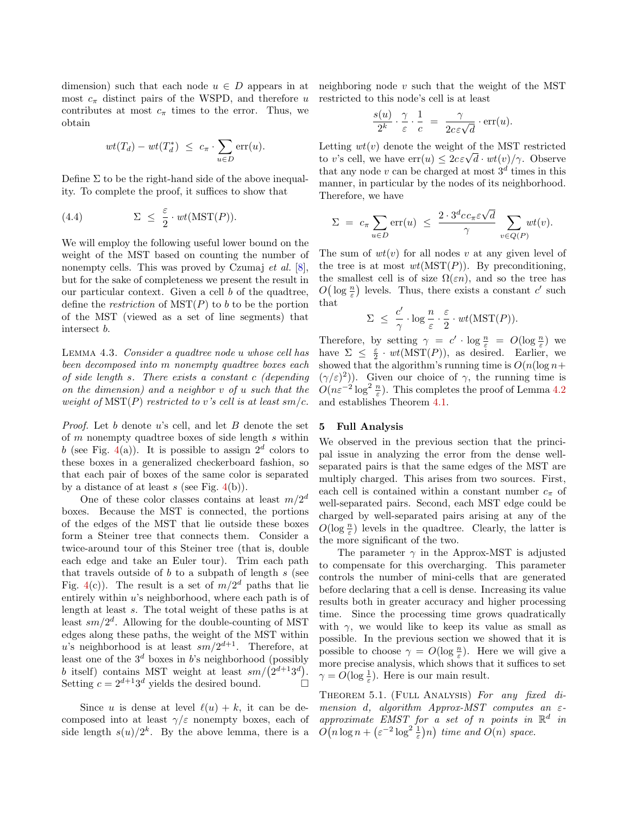dimension) such that each node  $u \in D$  appears in at most  $c_{\pi}$  distinct pairs of the WSPD, and therefore u contributes at most  $c_{\pi}$  times to the error. Thus, we obtain

$$
wt(T_d) - wt(T_d^*) \leq c_{\pi} \cdot \sum_{u \in D} \text{err}(u).
$$

Define  $\Sigma$  to be the right-hand side of the above inequality. To complete the proof, it suffices to show that

<span id="page-7-2"></span>(4.4) 
$$
\Sigma \leq \frac{\varepsilon}{2} \cdot wt(MST(P)).
$$

We will employ the following useful lower bound on the weight of the MST based on counting the number of nonempty cells. This was proved by Czumaj *et al.* [\[8\]](#page-13-10), but for the sake of completeness we present the result in our particular context. Given a cell b of the quadtree, define the *restriction* of  $MST(P)$  to b to be the portion of the MST (viewed as a set of line segments) that intersect b.

<span id="page-7-1"></span>Lemma 4.3. Consider a quadtree node u whose cell has been decomposed into m nonempty quadtree boxes each of side length s. There exists a constant c (depending on the dimension) and a neighbor v of u such that the weight of  $MST(P)$  restricted to v's cell is at least sm/c.

*Proof.* Let b denote u's cell, and let B denote the set of  $m$  nonempty quadtree boxes of side length  $s$  within b (see Fig. [4\(](#page-8-0)a)). It is possible to assign  $2^d$  colors to these boxes in a generalized checkerboard fashion, so that each pair of boxes of the same color is separated by a distance of at least s (see Fig.  $4(b)$  $4(b)$ ).

One of these color classes contains at least  $m/2^d$ boxes. Because the MST is connected, the portions of the edges of the MST that lie outside these boxes form a Steiner tree that connects them. Consider a twice-around tour of this Steiner tree (that is, double each edge and take an Euler tour). Trim each path that travels outside of  $b$  to a subpath of length  $s$  (see Fig. [4\(](#page-8-0)c)). The result is a set of  $m/2^d$  paths that lie entirely within  $u$ 's neighborhood, where each path is of length at least s. The total weight of these paths is at least  $sm/2^d$ . Allowing for the double-counting of MST edges along these paths, the weight of the MST within u's neighborhood is at least  $sm/2^{d+1}$ . Therefore, at least one of the  $3<sup>d</sup>$  boxes in b's neighborhood (possibly b itself) contains MST weight at least  $sm/(2^{d+1}3^d)$ . Setting  $c = 2^{d+1}3^d$  yields the desired bound.

Since u is dense at level  $\ell(u) + k$ , it can be decomposed into at least  $\gamma/\varepsilon$  nonempty boxes, each of side length  $s(u)/2^k$ . By the above lemma, there is a neighboring node  $v$  such that the weight of the MST restricted to this node's cell is at least

$$
\frac{s(u)}{2^k} \cdot \frac{\gamma}{\varepsilon} \cdot \frac{1}{c} = \frac{\gamma}{2c\varepsilon\sqrt{d}} \cdot \text{err}(u).
$$

Letting  $wt(v)$  denote the weight of the MST restricted to v's cell, we have  $\text{err}(u) \leq 2c\varepsilon\sqrt{d} \cdot wt(v)/\gamma$ . Observe that any node v can be charged at most  $3<sup>d</sup>$  times in this manner, in particular by the nodes of its neighborhood. Therefore, we have

$$
\Sigma = c_{\pi} \sum_{u \in D} \text{err}(u) \leq \frac{2 \cdot 3^d c c_{\pi} \varepsilon \sqrt{d}}{\gamma} \sum_{v \in Q(P)} wt(v).
$$

The sum of  $wt(v)$  for all nodes v at any given level of the tree is at most  $wt(MST(P))$ . By preconditioning, the smallest cell is of size  $\Omega(\varepsilon n)$ , and so the tree has  $O\left(\log \frac{n}{\varepsilon}\right)$  levels. Thus, there exists a constant  $c'$  such that

$$
\Sigma \ \leq \ \frac{c'}{\gamma} \cdot \log \frac{n}{\varepsilon} \cdot \frac{\varepsilon}{2} \cdot \, wt(\mathrm{MST}(P)).
$$

Therefore, by setting  $\gamma = c' \cdot \log \frac{n}{\varepsilon} = O(\log \frac{n}{\varepsilon})$  we have  $\Sigma \leq \frac{\varepsilon}{2} \cdot wt(MST(P))$ , as desired. Earlier, we showed that the algorithm's running time is  $O(n(\log n +$  $(\gamma/\varepsilon)^2$ ). Given our choice of  $\gamma$ , the running time is  $O(n\varepsilon^{-2}\log^2\frac{n}{\varepsilon})$ . This completes the proof of Lemma [4.2](#page-6-0) and establishes Theorem [4.1.](#page-5-5)

#### <span id="page-7-0"></span>5 Full Analysis

We observed in the previous section that the principal issue in analyzing the error from the dense wellseparated pairs is that the same edges of the MST are multiply charged. This arises from two sources. First, each cell is contained within a constant number  $c_{\pi}$  of well-separated pairs. Second, each MST edge could be charged by well-separated pairs arising at any of the  $O(\log \frac{n}{\varepsilon})$  levels in the quadtree. Clearly, the latter is the more significant of the two.

The parameter  $\gamma$  in the Approx-MST is adjusted to compensate for this overcharging. This parameter controls the number of mini-cells that are generated before declaring that a cell is dense. Increasing its value results both in greater accuracy and higher processing time. Since the processing time grows quadratically with  $\gamma$ , we would like to keep its value as small as possible. In the previous section we showed that it is possible to choose  $\gamma = O(\log \frac{n}{\varepsilon})$ . Here we will give a more precise analysis, which shows that it suffices to set  $\gamma = O(\log \frac{1}{\varepsilon})$ . Here is our main result.

<span id="page-7-3"></span>THEOREM 5.1. (FULL ANALYSIS) For any fixed dimension d, algorithm Approx-MST computes an  $\varepsilon$ approximate EMST for a set of n points in  $\mathbb{R}^d$  in  $O(n \log n + (\varepsilon^{-2} \log^2 \frac{1}{\varepsilon})n)$  time and  $O(n)$  space.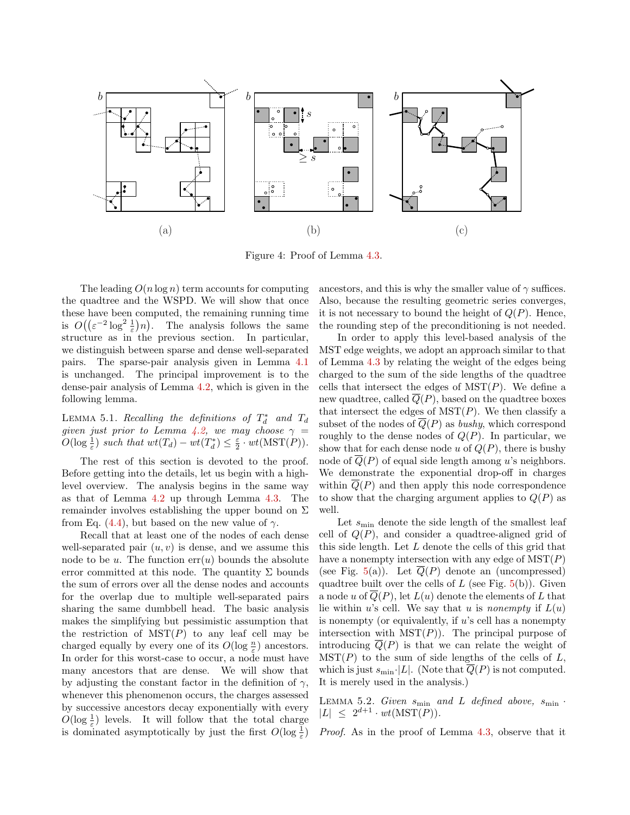

<span id="page-8-0"></span>Figure 4: Proof of Lemma [4.3.](#page-7-1)

The leading  $O(n \log n)$  term accounts for computing the quadtree and the WSPD. We will show that once these have been computed, the remaining running time is  $O((\varepsilon^{-2} \log^2 \frac{1}{\varepsilon})n)$ . The analysis follows the same structure as in the previous section. In particular, we distinguish between sparse and dense well-separated pairs. The sparse-pair analysis given in Lemma [4.1](#page-6-1) is unchanged. The principal improvement is to the dense-pair analysis of Lemma [4.2,](#page-6-0) which is given in the following lemma.

LEMMA 5.1. Recalling the definitions of  $T_d^*$  and  $T_d$ given just prior to Lemma [4.2,](#page-6-0) we may choose  $\gamma =$  $O(\log \frac{1}{\varepsilon})$  such that  $wt(T_d) - wt(T_d^*) \leq \frac{\varepsilon}{2} \cdot wt(MST(P)).$ 

The rest of this section is devoted to the proof. Before getting into the details, let us begin with a highlevel overview. The analysis begins in the same way as that of Lemma [4.2](#page-6-0) up through Lemma [4.3.](#page-7-1) The remainder involves establishing the upper bound on  $\Sigma$ from Eq. [\(4.4\)](#page-7-2), but based on the new value of  $\gamma$ .

Recall that at least one of the nodes of each dense well-separated pair  $(u, v)$  is dense, and we assume this node to be u. The function  $err(u)$  bounds the absolute error committed at this node. The quantity  $\Sigma$  bounds the sum of errors over all the dense nodes and accounts for the overlap due to multiple well-separated pairs sharing the same dumbbell head. The basic analysis makes the simplifying but pessimistic assumption that the restriction of  $MST(P)$  to any leaf cell may be charged equally by every one of its  $O(\log \frac{n}{\varepsilon})$  ancestors. In order for this worst-case to occur, a node must have many ancestors that are dense. We will show that by adjusting the constant factor in the definition of  $\gamma$ , whenever this phenomenon occurs, the charges assessed by successive ancestors decay exponentially with every  $O(\log \frac{1}{\varepsilon})$  levels. It will follow that the total charge is dominated asymptotically by just the first  $O(\log \frac{1}{\varepsilon})$  ancestors, and this is why the smaller value of  $\gamma$  suffices. Also, because the resulting geometric series converges, it is not necessary to bound the height of  $Q(P)$ . Hence, the rounding step of the preconditioning is not needed.

In order to apply this level-based analysis of the MST edge weights, we adopt an approach similar to that of Lemma [4.3](#page-7-1) by relating the weight of the edges being charged to the sum of the side lengths of the quadtree cells that intersect the edges of  $MST(P)$ . We define a new quadtree, called  $Q(P)$ , based on the quadtree boxes that intersect the edges of  $MST(P)$ . We then classify a subset of the nodes of  $\overline{Q}(P)$  as *bushy*, which correspond roughly to the dense nodes of  $Q(P)$ . In particular, we show that for each dense node u of  $Q(P)$ , there is bushy node of  $\overline{Q}(P)$  of equal side length among u's neighbors. We demonstrate the exponential drop-off in charges within  $\overline{Q}(P)$  and then apply this node correspondence to show that the charging argument applies to  $Q(P)$  as well.

Let  $s_{\text{min}}$  denote the side length of the smallest leaf cell of  $Q(P)$ , and consider a quadtree-aligned grid of this side length. Let L denote the cells of this grid that have a nonempty intersection with any edge of  $MST(P)$ (see Fig. [5\(](#page-9-0)a)). Let  $\overline{Q}(P)$  denote an (uncompressed) quadtree built over the cells of  $L$  (see Fig.  $5(b)$  $5(b)$ ). Given a node u of  $\overline{Q}(P)$ , let  $L(u)$  denote the elements of L that lie within u's cell. We say that u is nonempty if  $L(u)$ is nonempty (or equivalently, if  $u$ 's cell has a nonempty intersection with  $MST(P)$ . The principal purpose of introducing  $\overline{Q}(P)$  is that we can relate the weight of  $MST(P)$  to the sum of side lengths of the cells of L, which is just  $s_{\min}$ . [L]. (Note that  $\overline{Q}(P)$  is not computed. It is merely used in the analysis.)

<span id="page-8-1"></span>LEMMA 5.2. Given  $s_{\min}$  and L defined above,  $s_{\min}$  $|L| \leq 2^{d+1} \cdot wt(MST(P)).$ 

Proof. As in the proof of Lemma [4.3,](#page-7-1) observe that it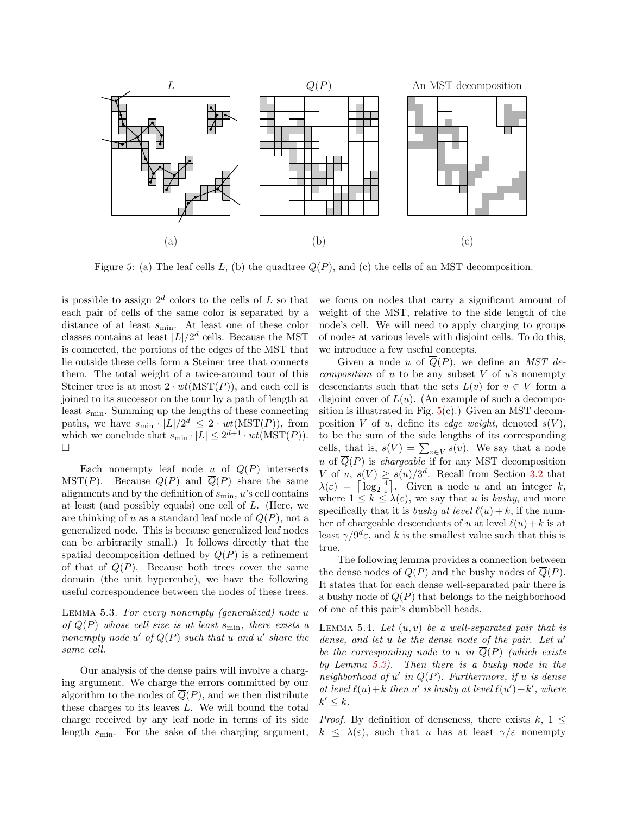

<span id="page-9-0"></span>Figure 5: (a) The leaf cells L, (b) the quadtree  $\overline{Q}(P)$ , and (c) the cells of an MST decomposition.

is possible to assign  $2^d$  colors to the cells of L so that each pair of cells of the same color is separated by a distance of at least  $s_{\min}$ . At least one of these color classes contains at least  $|L|/2^d$  cells. Because the MST is connected, the portions of the edges of the MST that lie outside these cells form a Steiner tree that connects them. The total weight of a twice-around tour of this Steiner tree is at most  $2 \cdot wt(MST(P))$ , and each cell is joined to its successor on the tour by a path of length at least  $s_{\min}$ . Summing up the lengths of these connecting paths, we have  $s_{\min} \cdot |L|/2^d \leq 2 \cdot wt(\text{MST}(P)),$  from which we conclude that  $s_{\min} \cdot |L| \leq 2^{d+1} \cdot wt(MST(P)).$  $\Box$ 

Each nonempty leaf node u of  $Q(P)$  intersects MST(P). Because  $Q(P)$  and  $\overline{Q}(P)$  share the same alignments and by the definition of  $s_{\min}$ ,  $u$ 's cell contains at least (and possibly equals) one cell of L. (Here, we are thinking of u as a standard leaf node of  $Q(P)$ , not a generalized node. This is because generalized leaf nodes can be arbitrarily small.) It follows directly that the spatial decomposition defined by  $\overline{Q}(P)$  is a refinement of that of  $Q(P)$ . Because both trees cover the same domain (the unit hypercube), we have the following useful correspondence between the nodes of these trees.

<span id="page-9-1"></span>Lemma 5.3. For every nonempty (generalized) node u of  $Q(P)$  whose cell size is at least  $s_{\text{min}}$ , there exists a nonempty node  $u'$  of  $\overline{Q}(P)$  such that u and u' share the same cell.

Our analysis of the dense pairs will involve a charging argument. We charge the errors committed by our algorithm to the nodes of  $\overline{Q}(P)$ , and we then distribute these charges to its leaves  $L$ . We will bound the total charge received by any leaf node in terms of its side length  $s_{\min}$ . For the sake of the charging argument, we focus on nodes that carry a significant amount of weight of the MST, relative to the side length of the node's cell. We will need to apply charging to groups of nodes at various levels with disjoint cells. To do this, we introduce a few useful concepts.

Given a node u of  $\overline{Q}(P)$ , we define an MST de*composition* of  $u$  to be any subset  $V$  of  $u$ 's nonempty descendants such that the sets  $L(v)$  for  $v \in V$  form a disjoint cover of  $L(u)$ . (An example of such a decomposition is illustrated in Fig.  $5(c)$  $5(c)$ .) Given an MST decomposition V of u, define its edge weight, denoted  $s(V)$ , to be the sum of the side lengths of its corresponding cells, that is,  $s(V) = \sum_{v \in V} s(v)$ . We say that a node u of  $\overline{Q}(P)$  is *chargeable* if for any MST decomposition V of u,  $s(V) \geq s(u)/3^d$ . Recall from Section [3.2](#page-4-3) that  $\lambda(\varepsilon) = \left\lceil \log_2 \frac{4}{\varepsilon} \right\rceil$ . Given a node u and an integer k, where  $1 \leq k \leq \lambda(\varepsilon)$ , we say that u is bushy, and more specifically that it is bushy at level  $\ell(u) + k$ , if the number of chargeable descendants of u at level  $\ell(u) + k$  is at least  $\gamma/9^d\varepsilon$ , and k is the smallest value such that this is true.

The following lemma provides a connection between the dense nodes of  $Q(P)$  and the bushy nodes of  $\overline{Q}(P)$ . It states that for each dense well-separated pair there is a bushy node of  $\overline{Q}(P)$  that belongs to the neighborhood of one of this pair's dumbbell heads.

<span id="page-9-2"></span>LEMMA 5.4. Let  $(u, v)$  be a well-separated pair that is dense, and let  $u$  be the dense node of the pair. Let  $u'$ be the corresponding node to u in  $\overline{Q}(P)$  (which exists by Lemma [5.3\)](#page-9-1). Then there is a bushy node in the neighborhood of u' in  $\overline{Q}(P)$ . Furthermore, if u is dense at level  $\ell(u)+k$  then u' is bushy at level  $\ell(u')+k'$ , where  $k' \leq k$ .

*Proof.* By definition of denseness, there exists  $k, 1 \leq$  $k \leq \lambda(\varepsilon)$ , such that u has at least  $\gamma/\varepsilon$  nonempty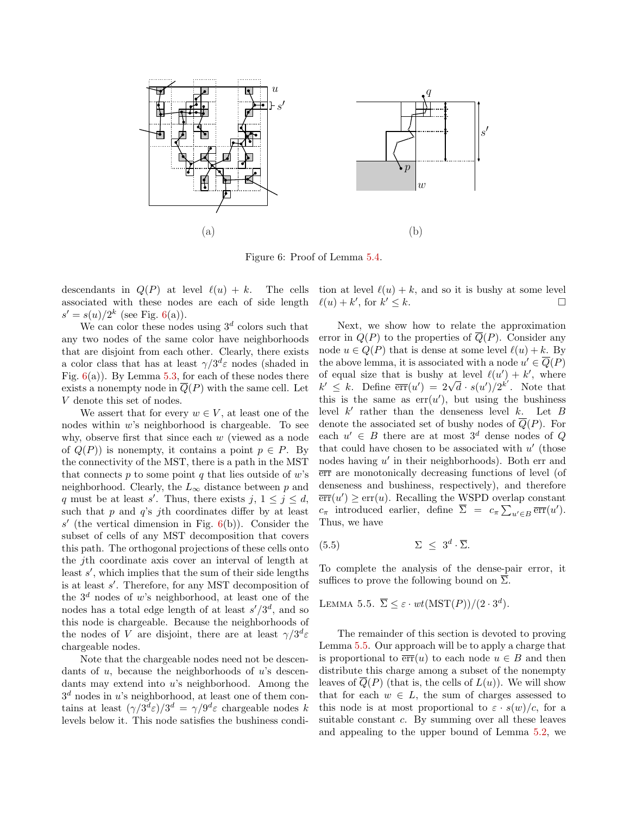

<span id="page-10-0"></span>Figure 6: Proof of Lemma [5.4.](#page-9-2)

descendants in  $Q(P)$  at level  $\ell(u) + k$ . The cells associated with these nodes are each of side length  $s' = s(u)/2^k$  (see Fig. [6\(](#page-10-0)a)).

We can color these nodes using  $3^d$  colors such that any two nodes of the same color have neighborhoods that are disjoint from each other. Clearly, there exists a color class that has at least  $\gamma/3^d\varepsilon$  nodes (shaded in Fig.  $6(a)$  $6(a)$ ). By Lemma [5.3,](#page-9-1) for each of these nodes there exists a nonempty node in  $Q(P)$  with the same cell. Let V denote this set of nodes.

We assert that for every  $w \in V$ , at least one of the nodes within w's neighborhood is chargeable. To see why, observe first that since each  $w$  (viewed as a node of  $Q(P)$  is nonempty, it contains a point  $p \in P$ . By the connectivity of the MST, there is a path in the MST that connects  $p$  to some point  $q$  that lies outside of  $w$ 's neighborhood. Clearly, the  $L_{\infty}$  distance between p and q must be at least s'. Thus, there exists  $j, 1 \le j \le d$ , such that  $p$  and  $q$ 's jth coordinates differ by at least  $s'$  (the vertical dimension in Fig.  $6(b)$  $6(b)$ ). Consider the subset of cells of any MST decomposition that covers this path. The orthogonal projections of these cells onto the jth coordinate axis cover an interval of length at least  $s'$ , which implies that the sum of their side lengths is at least  $s'$ . Therefore, for any MST decomposition of the  $3^d$  nodes of w's neighborhood, at least one of the nodes has a total edge length of at least  $s'/3^d$ , and so this node is chargeable. Because the neighborhoods of the nodes of V are disjoint, there are at least  $\gamma/3^d \varepsilon$ chargeable nodes.

Note that the chargeable nodes need not be descendants of  $u$ , because the neighborhoods of  $u$ 's descendants may extend into u's neighborhood. Among the  $3<sup>d</sup>$  nodes in u's neighborhood, at least one of them contains at least  $(\gamma/3^d \varepsilon)/3^d = \gamma/9^d \varepsilon$  chargeable nodes k levels below it. This node satisfies the bushiness condition at level  $\ell(u) + k$ , and so it is bushy at some level  $\ell(u) + k'$ , for k  $\ell \leq k.$ 

Next, we show how to relate the approximation error in  $Q(P)$  to the properties of  $\overline{Q}(P)$ . Consider any node  $u \in Q(P)$  that is dense at some level  $\ell(u) + k$ . By the above lemma, it is associated with a node  $u' \in \overline{Q}(P)$ of equal size that is bushy at level  $\ell(u') + k'$ , where  $k' \leq k$ . Define  $\overline{err}(u') = 2\sqrt{d} \cdot s(u')/2^{k'}$ . Note that this is the same as  $err(u')$ , but using the bushiness level  $k'$  rather than the denseness level  $k$ . Let  $B$ denote the associated set of bushy nodes of  $\overline{Q}(P)$ . For each  $u' \in B$  there are at most  $3^d$  dense nodes of Q that could have chosen to be associated with  $u'$  (those nodes having  $u'$  in their neighborhoods). Both err and err are monotonically decreasing functions of level (of denseness and bushiness, respectively), and therefore  $\overline{\text{err}}(u') \ge \text{err}(u)$ . Recalling the WSPD overlap constant  $c_{\pi}$  introduced earlier, define  $\overline{\Sigma} = c_{\pi} \sum_{u' \in B} \overline{\text{err}}(u')$ . Thus, we have

<span id="page-10-2"></span>
$$
(5.5) \t\t \Sigma \leq 3^d \cdot \overline{\Sigma}.
$$

To complete the analysis of the dense-pair error, it suffices to prove the following bound on  $\Sigma$ .

<span id="page-10-1"></span>LEMMA 5.5. 
$$
\overline{\Sigma} \leq \varepsilon \cdot wt(MST(P))/(2 \cdot 3^d)
$$
.

The remainder of this section is devoted to proving Lemma [5.5.](#page-10-1) Our approach will be to apply a charge that is proportional to  $\overline{err}(u)$  to each node  $u \in B$  and then distribute this charge among a subset of the nonempty leaves of  $\overline{Q}(P)$  (that is, the cells of  $L(u)$ ). We will show that for each  $w \in L$ , the sum of charges assessed to this node is at most proportional to  $\varepsilon \cdot s(w)/c$ , for a suitable constant c. By summing over all these leaves and appealing to the upper bound of Lemma [5.2,](#page-8-1) we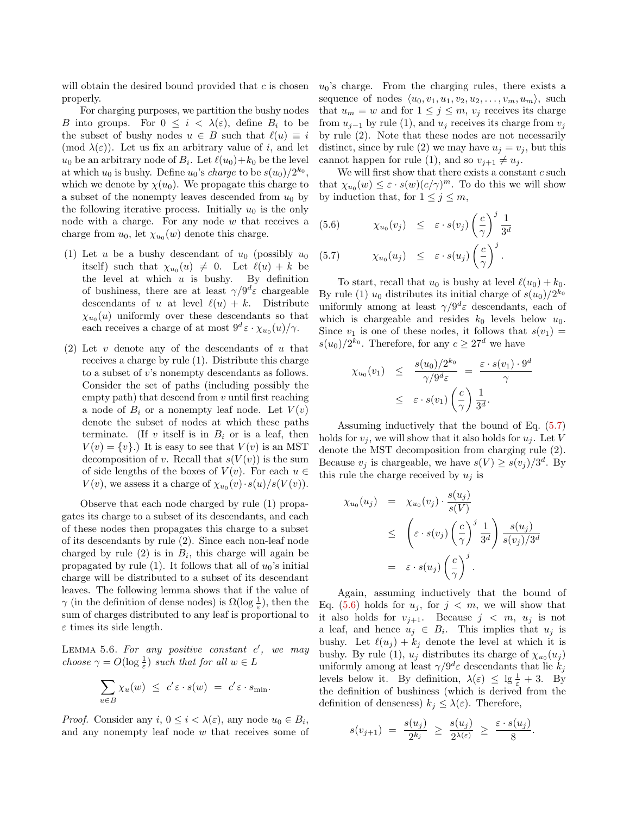will obtain the desired bound provided that  $c$  is chosen properly.

For charging purposes, we partition the bushy nodes B into groups. For  $0 \leq i \leq \lambda(\varepsilon)$ , define  $B_i$  to be the subset of bushy nodes  $u \in B$  such that  $\ell(u) \equiv i$ (mod  $\lambda(\varepsilon)$ ). Let us fix an arbitrary value of i, and let  $u_0$  be an arbitrary node of  $B_i$ . Let  $\ell(u_0)+k_0$  be the level at which  $u_0$  is bushy. Define  $u_0$ 's *charge* to be  $s(u_0)/2^{k_0}$ , which we denote by  $\chi(u_0)$ . We propagate this charge to a subset of the nonempty leaves descended from  $u_0$  by the following iterative process. Initially  $u_0$  is the only node with a charge. For any node  $w$  that receives a charge from  $u_0$ , let  $\chi_{u_0}(w)$  denote this charge.

- (1) Let u be a bushy descendant of  $u_0$  (possibly  $u_0$ itself) such that  $\chi_{u_0}(u) \neq 0$ . Let  $\ell(u) + k$  be the level at which  $u$  is bushy. By definition of bushiness, there are at least  $\gamma/9^d\varepsilon$  chargeable descendants of u at level  $\ell(u) + k$ . Distribute  $\chi_{u_0}(u)$  uniformly over these descendants so that each receives a charge of at most  $9^d \varepsilon \cdot \chi_{u_0}(u)/\gamma$ .
- (2) Let  $v$  denote any of the descendants of  $u$  that receives a charge by rule (1). Distribute this charge to a subset of  $v$ 's nonempty descendants as follows. Consider the set of paths (including possibly the empty path) that descend from  $v$  until first reaching a node of  $B_i$  or a nonempty leaf node. Let  $V(v)$ denote the subset of nodes at which these paths terminate. (If v itself is in  $B_i$  or is a leaf, then  $V(v) = \{v\}$ .) It is easy to see that  $V(v)$  is an MST decomposition of v. Recall that  $s(V(v))$  is the sum of side lengths of the boxes of  $V(v)$ . For each  $u \in$  $V(v)$ , we assess it a charge of  $\chi_{u_0}(v) \cdot s(u)/s(V(v))$ .

Observe that each node charged by rule (1) propagates its charge to a subset of its descendants, and each of these nodes then propagates this charge to a subset of its descendants by rule (2). Since each non-leaf node charged by rule  $(2)$  is in  $B_i$ , this charge will again be propagated by rule (1). It follows that all of  $u_0$ 's initial charge will be distributed to a subset of its descendant leaves. The following lemma shows that if the value of  $\gamma$  (in the definition of dense nodes) is  $\Omega(\log\frac{1}{\varepsilon})$ , then the sum of charges distributed to any leaf is proportional to  $\varepsilon$  times its side length.

LEMMA 5.6. For any positive constant  $c'$ , we may choose  $\gamma = O(\log \frac{1}{\varepsilon})$  such that for all  $w \in L$ 

$$
\sum_{u \in B} \chi_u(w) \leq c' \varepsilon \cdot s(w) = c' \varepsilon \cdot s_{\min}.
$$

*Proof.* Consider any  $i, 0 \le i < \lambda(\varepsilon)$ , any node  $u_0 \in B_i$ , and any nonempty leaf node w that receives some of  $u_0$ 's charge. From the charging rules, there exists a sequence of nodes  $\langle u_0, v_1, u_1, v_2, u_2, \ldots, v_m, u_m \rangle$ , such that  $u_m = w$  and for  $1 \leq j \leq m$ ,  $v_j$  receives its charge from  $u_{j-1}$  by rule (1), and  $u_j$  receives its charge from  $v_j$ by rule (2). Note that these nodes are not necessarily distinct, since by rule (2) we may have  $u_i = v_i$ , but this cannot happen for rule (1), and so  $v_{j+1} \neq u_j$ .

We will first show that there exists a constant  $c$  such that  $\chi_{u_0}(w) \leq \varepsilon \cdot s(w) (c/\gamma)^m$ . To do this we will show by induction that, for  $1 \leq j \leq m$ ,

<span id="page-11-0"></span>(5.6) 
$$
\chi_{u_0}(v_j) \leq \varepsilon \cdot s(v_j) \left(\frac{c}{\gamma}\right)^j \frac{1}{3^d}
$$
  
(5.7) 
$$
\chi_{u_0}(u_j) \leq \varepsilon \cdot s(u_j) \left(\frac{c}{\gamma}\right)^j.
$$

To start, recall that  $u_0$  is bushy at level  $\ell(u_0) + k_0$ . By rule (1)  $u_0$  distributes its initial charge of  $s(u_0)/2^{k_0}$ uniformly among at least  $\gamma/9^d\varepsilon$  descendants, each of which is chargeable and resides  $k_0$  levels below  $u_0$ . Since  $v_1$  is one of these nodes, it follows that  $s(v_1)$  =  $s(u_0)/2^{k_0}$ . Therefore, for any  $c \geq 27^d$  we have

$$
\chi_{u_0}(v_1) \leq \frac{s(u_0)/2^{k_0}}{\gamma/9^d \varepsilon} = \frac{\varepsilon \cdot s(v_1) \cdot 9^d}{\gamma}
$$
  
 
$$
\leq \varepsilon \cdot s(v_1) \left(\frac{c}{\gamma}\right) \frac{1}{3^d}.
$$

Assuming inductively that the bound of Eq. [\(5.7\)](#page-11-0) holds for  $v_j$ , we will show that it also holds for  $u_j$ . Let V denote the MST decomposition from charging rule (2). Because  $v_j$  is chargeable, we have  $s(V) \geq s(v_j)/3^d$ . By this rule the charge received by  $u_j$  is

$$
\chi_{u_0}(u_j) = \chi_{u_0}(v_j) \cdot \frac{s(u_j)}{s(V)}
$$
  
\n
$$
\leq \left(\varepsilon \cdot s(v_j) \left(\frac{c}{\gamma}\right)^j \frac{1}{3^d}\right) \frac{s(u_j)}{s(v_j)/3^d}
$$
  
\n
$$
= \varepsilon \cdot s(u_j) \left(\frac{c}{\gamma}\right)^j.
$$

Again, assuming inductively that the bound of Eq. [\(5.6\)](#page-11-0) holds for  $u_j$ , for  $j < m$ , we will show that it also holds for  $v_{j+1}$ . Because  $j < m$ ,  $u_j$  is not a leaf, and hence  $u_j \in B_i$ . This implies that  $u_j$  is bushy. Let  $\ell(u_j) + k_j$  denote the level at which it is bushy. By rule (1),  $u_j$  distributes its charge of  $\chi_{u_0}(u_j)$ uniformly among at least  $\gamma/9^d\varepsilon$  descendants that lie  $k_j$ levels below it. By definition,  $\lambda(\varepsilon) \leq \lg \frac{1}{\varepsilon} + 3$ . By the definition of bushiness (which is derived from the definition of denseness)  $k_j \leq \lambda(\varepsilon)$ . Therefore,

$$
s(v_{j+1}) = \frac{s(u_j)}{2^{k_j}} \ge \frac{s(u_j)}{2^{\lambda(\varepsilon)}} \ge \frac{\varepsilon \cdot s(u_j)}{8}.
$$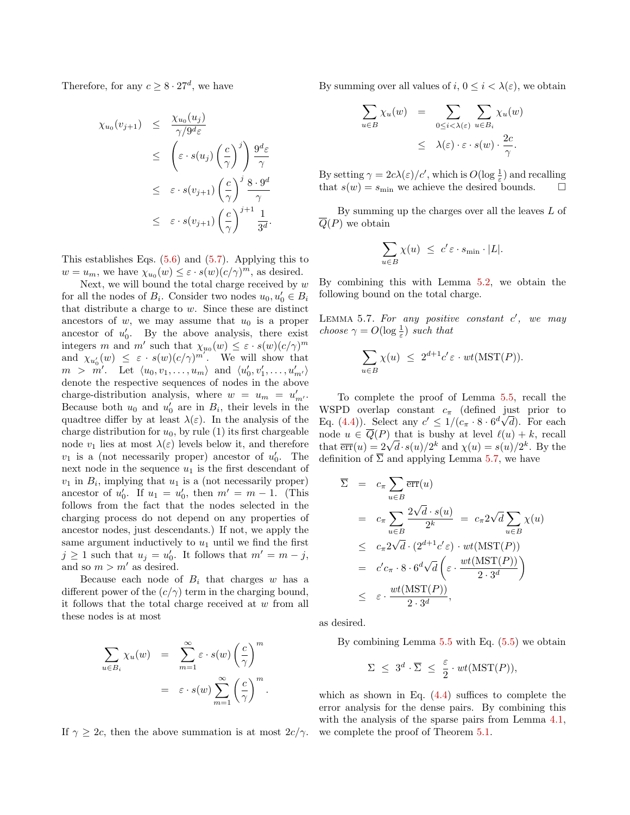Therefore, for any  $c \geq 8 \cdot 27^d$ , we have

$$
\chi_{u_0}(v_{j+1}) \leq \frac{\chi_{u_0}(u_j)}{\gamma/9^{d_{\varepsilon}}} \n\leq \left(\varepsilon \cdot s(u_j) \left(\frac{c}{\gamma}\right)^j\right) \frac{9^d \varepsilon}{\gamma} \n\leq \varepsilon \cdot s(v_{j+1}) \left(\frac{c}{\gamma}\right)^j \frac{8 \cdot 9^d}{\gamma} \n\leq \varepsilon \cdot s(v_{j+1}) \left(\frac{c}{\gamma}\right)^{j+1} \frac{1}{3^d}.
$$

This establishes Eqs. [\(5.6\)](#page-11-0) and [\(5.7\)](#page-11-0). Applying this to  $w = u_m$ , we have  $\chi_{u_0}(w) \leq \varepsilon \cdot s(w)(c/\gamma)^m$ , as desired.

Next, we will bound the total charge received by  $w$ for all the nodes of  $B_i$ . Consider two nodes  $u_0, u'_0 \in B_i$ that distribute a charge to  $w$ . Since these are distinct ancestors of  $w$ , we may assume that  $u_0$  is a proper ancestor of  $u'_0$ . By the above analysis, there exist integers m and m' such that  $\chi_{u_0}(w) \leq \varepsilon \cdot s(w)(c/\gamma)^m$ and  $\chi_{u'_0}(w) \leq \varepsilon \cdot s(w) (c/\gamma)^{m'}$ . We will show that  $m > m'$ . Let  $\langle u_0, v_1, \ldots, u_m \rangle$  and  $\langle u'_0, v'_1, \ldots, u'_{m'} \rangle$ denote the respective sequences of nodes in the above charge-distribution analysis, where  $w = u_m = u'_{m'}$ . Because both  $u_0$  and  $u'_0$  are in  $B_i$ , their levels in the quadtree differ by at least  $\lambda(\varepsilon)$ . In the analysis of the charge distribution for  $u_0$ , by rule (1) its first chargeable node  $v_1$  lies at most  $\lambda(\varepsilon)$  levels below it, and therefore  $v_1$  is a (not necessarily proper) ancestor of  $u'_0$ . The next node in the sequence  $u_1$  is the first descendant of  $v_1$  in  $B_i$ , implying that  $u_1$  is a (not necessarily proper) ancestor of  $u'_0$ . If  $u_1 = u'_0$ , then  $m' = m - 1$ . (This follows from the fact that the nodes selected in the charging process do not depend on any properties of ancestor nodes, just descendants.) If not, we apply the same argument inductively to  $u_1$  until we find the first  $j \geq 1$  such that  $u_j = u'_0$ . It follows that  $m' = m - j$ , and so  $m > m'$  as desired.

Because each node of  $B_i$  that charges w has a different power of the  $(c/\gamma)$  term in the charging bound, it follows that the total charge received at w from all these nodes is at most

$$
\sum_{u \in B_i} \chi_u(w) = \sum_{m=1}^{\infty} \varepsilon \cdot s(w) \left(\frac{c}{\gamma}\right)^m
$$
  
=  $\varepsilon \cdot s(w) \sum_{m=1}^{\infty} \left(\frac{c}{\gamma}\right)^m$ .

If  $\gamma \geq 2c$ , then the above summation is at most  $2c/\gamma$ .

By summing over all values of  $i, 0 \leq i \leq \lambda(\varepsilon)$ , we obtain

$$
\sum_{u \in B} \chi_u(w) = \sum_{0 \le i < \lambda(\varepsilon)} \sum_{u \in B_i} \chi_u(w)
$$
  
 
$$
\leq \lambda(\varepsilon) \cdot \varepsilon \cdot s(w) \cdot \frac{2c}{\gamma}.
$$

By setting  $\gamma = 2c\lambda(\varepsilon)/c'$ , which is  $O(\log \frac{1}{\varepsilon})$  and recalling that  $s(w) = s_{\text{min}}$  we achieve the desired bounds.

By summing up the charges over all the leaves L of  $Q(P)$  we obtain

$$
\sum_{u \in B} \chi(u) \leq c' \varepsilon \cdot s_{\min} \cdot |L|.
$$

By combining this with Lemma [5.2,](#page-8-1) we obtain the following bound on the total charge.

<span id="page-12-0"></span>LEMMA 5.7. For any positive constant  $c'$ , we may choose  $\gamma = O(\log \frac{1}{\varepsilon})$  such that

$$
\sum_{u \in B} \chi(u) \leq 2^{d+1} c' \varepsilon \cdot wt(MST(P)).
$$

To complete the proof of Lemma [5.5,](#page-10-1) recall the WSPD overlap constant  $c_{\pi}$  (defined just prior to Eq. [\(4.4\)](#page-7-2)). Select any  $c' \leq 1/(c_{\pi} \cdot 8 \cdot 6^{d} \sqrt{d})$ . For each node  $u \in \overline{Q}(P)$  that is bushy at level  $\ell(u) + k$ , recall that  $\overline{\text{err}}(u) = 2\sqrt{d} \cdot s(u)/2^k$  and  $\chi(u) = s(u)/2^k$ . By the definition of  $\overline{\Sigma}$  and applying Lemma [5.7,](#page-12-0) we have

$$
\overline{\Sigma} = c_{\pi} \sum_{u \in B} \overline{\text{err}}(u)
$$
\n
$$
= c_{\pi} \sum_{u \in B} \frac{2\sqrt{d} \cdot s(u)}{2^{k}} = c_{\pi} 2\sqrt{d} \sum_{u \in B} \chi(u)
$$
\n
$$
\leq c_{\pi} 2\sqrt{d} \cdot (2^{d+1} c' \varepsilon) \cdot wt(MST(P))
$$
\n
$$
= c'c_{\pi} \cdot 8 \cdot 6^{d} \sqrt{d} \left( \varepsilon \cdot \frac{wt(MST(P))}{2 \cdot 3^{d}} \right)
$$
\n
$$
\leq \varepsilon \cdot \frac{wt(MST(P))}{2 \cdot 3^{d}},
$$

as desired.

By combining Lemma [5.5](#page-10-1) with Eq. [\(5.5\)](#page-10-2) we obtain

$$
\Sigma \leq 3^d \cdot \overline{\Sigma} \leq \frac{\varepsilon}{2} \cdot wt(MST(P)),
$$

which as shown in Eq.  $(4.4)$  suffices to complete the error analysis for the dense pairs. By combining this with the analysis of the sparse pairs from Lemma [4.1,](#page-6-1) we complete the proof of Theorem [5.1.](#page-7-3)